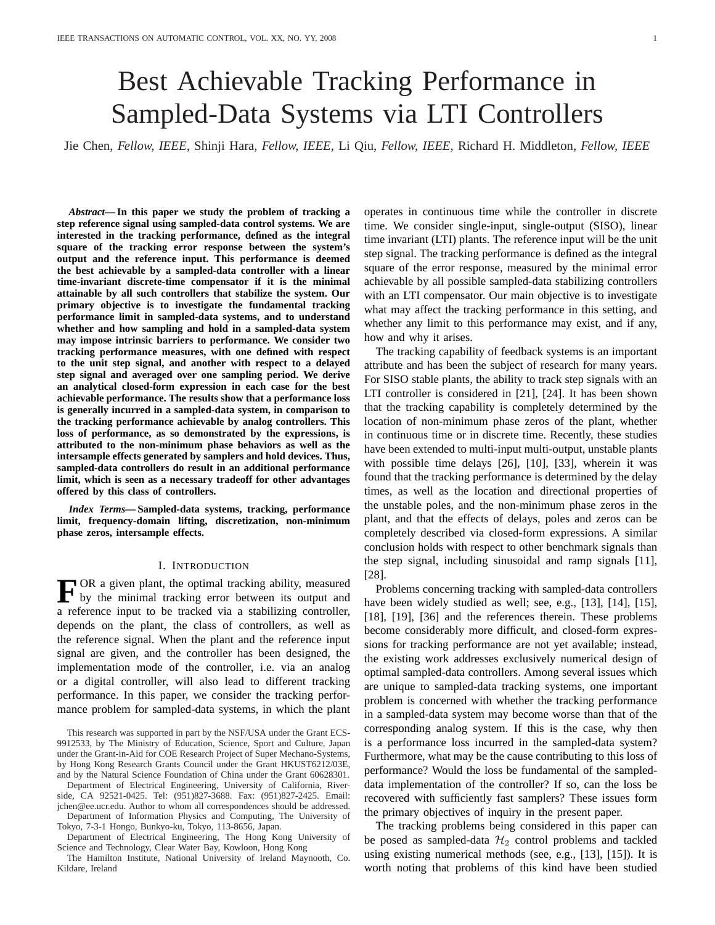# Best Achievable Tracking Performance in Sampled-Data Systems via LTI Controllers

Jie Chen, *Fellow, IEEE,* Shinji Hara, *Fellow, IEEE,* Li Qiu, *Fellow, IEEE,* Richard H. Middleton, *Fellow, IEEE*

*Abstract***— In this paper we study the problem of tracking a step reference signal using sampled-data control systems. We are interested in the tracking performance, defined as the integral square of the tracking error response between the system's output and the reference input. This performance is deemed the best achievable by a sampled-data controller with a linear time-invariant discrete-time compensator if it is the minimal attainable by all such controllers that stabilize the system. Our primary objective is to investigate the fundamental tracking performance limit in sampled-data systems, and to understand whether and how sampling and hold in a sampled-data system may impose intrinsic barriers to performance. We consider two tracking performance measures, with one defined with respect to the unit step signal, and another with respect to a delayed step signal and averaged over one sampling period. We derive an analytical closed-form expression in each case for the best achievable performance. The results show that a performance loss is generally incurred in a sampled-data system, in comparison to the tracking performance achievable by analog controllers. This loss of performance, as so demonstrated by the expressions, is attributed to the non-minimum phase behaviors as well as the intersample effects generated by samplers and hold devices. Thus, sampled-data controllers do result in an additional performance limit, which is seen as a necessary tradeoff for other advantages offered by this class of controllers.**

*Index Terms***— Sampled-data systems, tracking, performance limit, frequency-domain lifting, discretization, non-minimum phase zeros, intersample effects.**

### I. INTRODUCTION

**F** OR a given plant, the optimal tracking ability, measured<br>by the minimal tracking error between its output and by the minimal tracking error between its output and a reference input to be tracked via a stabilizing controller, depends on the plant, the class of controllers, as well as the reference signal. When the plant and the reference input signal are given, and the controller has been designed, the implementation mode of the controller, i.e. via an analog or a digital controller, will also lead to different tracking performance. In this paper, we consider the tracking performance problem for sampled-data systems, in which the plant

This research was supported in part by the NSF/USA under the Grant ECS-9912533, by The Ministry of Education, Science, Sport and Culture, Japan under the Grant-in-Aid for COE Research Project of Super Mechano-Systems, by Hong Kong Research Grants Council under the Grant HKUST6212/03E, and by the Natural Science Foundation of China under the Grant 60628301.

Department of Electrical Engineering, University of California, Riverside, CA 92521-0425. Tel: (951)827-3688. Fax: (951)827-2425. Email: jchen@ee.ucr.edu. Author to whom all correspondences should be addressed. Department of Information Physics and Computing, The University of

Tokyo, 7-3-1 Hongo, Bunkyo-ku, Tokyo, 113-8656, Japan. Department of Electrical Engineering, The Hong Kong University of

Science and Technology, Clear Water Bay, Kowloon, Hong Kong

The Hamilton Institute, National University of Ireland Maynooth, Co. Kildare, Ireland

operates in continuous time while the controller in discrete time. We consider single-input, single-output (SISO), linear time invariant (LTI) plants. The reference input will be the unit step signal. The tracking performance is defined as the integral square of the error response, measured by the minimal error achievable by all possible sampled-data stabilizing controllers with an LTI compensator. Our main objective is to investigate what may affect the tracking performance in this setting, and whether any limit to this performance may exist, and if any, how and why it arises.

The tracking capability of feedback systems is an important attribute and has been the subject of research for many years. For SISO stable plants, the ability to track step signals with an LTI controller is considered in [21], [24]. It has been shown that the tracking capability is completely determined by the location of non-minimum phase zeros of the plant, whether in continuous time or in discrete time. Recently, these studies have been extended to multi-input multi-output, unstable plants with possible time delays [26], [10], [33], wherein it was found that the tracking performance is determined by the delay times, as well as the location and directional properties of the unstable poles, and the non-minimum phase zeros in the plant, and that the effects of delays, poles and zeros can be completely described via closed-form expressions. A similar conclusion holds with respect to other benchmark signals than the step signal, including sinusoidal and ramp signals [11], [28].

Problems concerning tracking with sampled-data controllers have been widely studied as well; see, e.g., [13], [14], [15], [18], [19], [36] and the references therein. These problems become considerably more difficult, and closed-form expressions for tracking performance are not yet available; instead, the existing work addresses exclusively numerical design of optimal sampled-data controllers. Among several issues which are unique to sampled-data tracking systems, one important problem is concerned with whether the tracking performance in a sampled-data system may become worse than that of the corresponding analog system. If this is the case, why then is a performance loss incurred in the sampled-data system? Furthermore, what may be the cause contributing to this loss of performance? Would the loss be fundamental of the sampleddata implementation of the controller? If so, can the loss be recovered with sufficiently fast samplers? These issues form the primary objectives of inquiry in the present paper.

The tracking problems being considered in this paper can be posed as sampled-data  $H_2$  control problems and tackled using existing numerical methods (see, e.g., [13], [15]). It is worth noting that problems of this kind have been studied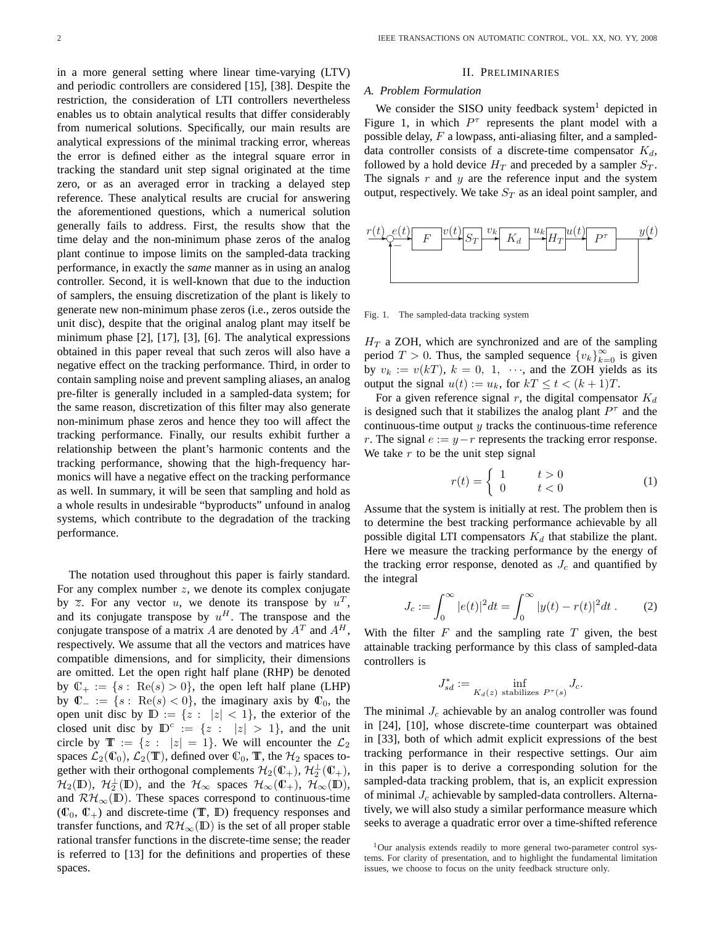in a more general setting where linear time-varying (LTV) and periodic controllers are considered [15], [38]. Despite the restriction, the consideration of LTI controllers nevertheless enables us to obtain analytical results that differ considerably from numerical solutions. Specifically, our main results are analytical expressions of the minimal tracking error, whereas the error is defined either as the integral square error in tracking the standard unit step signal originated at the time zero, or as an averaged error in tracking a delayed step reference. These analytical results are crucial for answering the aforementioned questions, which a numerical solution generally fails to address. First, the results show that the time delay and the non-minimum phase zeros of the analog plant continue to impose limits on the sampled-data tracking performance, in exactly the *same* manner as in using an analog controller. Second, it is well-known that due to the induction of samplers, the ensuing discretization of the plant is likely to generate new non-minimum phase zeros (i.e., zeros outside the unit disc), despite that the original analog plant may itself be minimum phase [2], [17], [3], [6]. The analytical expressions obtained in this paper reveal that such zeros will also have a negative effect on the tracking performance. Third, in order to contain sampling noise and prevent sampling aliases, an analog pre-filter is generally included in a sampled-data system; for the same reason, discretization of this filter may also generate non-minimum phase zeros and hence they too will affect the tracking performance. Finally, our results exhibit further a relationship between the plant's harmonic contents and the tracking performance, showing that the high-frequency harmonics will have a negative effect on the tracking performance as well. In summary, it will be seen that sampling and hold as a whole results in undesirable "byproducts" unfound in analog systems, which contribute to the degradation of the tracking performance.

The notation used throughout this paper is fairly standard. For any complex number  $z$ , we denote its complex conjugate by  $\overline{z}$ . For any vector u, we denote its transpose by  $u^T$ , and its conjugate transpose by  $u^H$ . The transpose and the conjugate transpose of a matrix A are denoted by  $A<sup>T</sup>$  and  $A<sup>H</sup>$ , respectively. We assume that all the vectors and matrices have compatible dimensions, and for simplicity, their dimensions are omitted. Let the open right half plane (RHP) be denoted by  $\mathbb{C}_+ := \{s : \text{Re}(s) > 0\}$ , the open left half plane (LHP) by  $\mathbb{C}_- := \{s : \text{Re}(s) < 0\}$ , the imaginary axis by  $\mathbb{C}_0$ , the open unit disc by  $\mathbb{D} := \{z : |z| < 1\}$ , the exterior of the closed unit disc by  $\mathbb{D}^c := \{z : |z| > 1\}$ , and the unit circle by  $\mathbb{T} := \{z : |z| = 1\}$ . We will encounter the  $\mathcal{L}_2$ spaces  $\mathcal{L}_2(\mathbb{C}_0)$ ,  $\mathcal{L}_2(\mathbb{T})$ , defined over  $\mathbb{C}_0$ ,  $\mathbb{T}$ , the  $\mathcal{H}_2$  spaces together with their orthogonal complements  $\mathcal{H}_2(\mathbb{C}_+)$ ,  $\mathcal{H}_2^{\perp}(\mathbb{C}_+)$ ,  $\mathcal{H}_2(\mathbb{D})$ ,  $\mathcal{H}_2^{\perp}(\mathbb{D})$ , and the  $\mathcal{H}_{\infty}$  spaces  $\mathcal{H}_{\infty}(\mathbb{C}_+)$ ,  $\mathcal{H}_{\infty}(\mathbb{D})$ , and  $\mathcal{RH}_{\infty}(\mathbb{D})$ . These spaces correspond to continuous-time  $(\mathbb{C}_0, \mathbb{C}_+)$  and discrete-time (T, D) frequency responses and transfer functions, and  $\mathcal{RH}_{\infty}(\mathbb{D})$  is the set of all proper stable rational transfer functions in the discrete-time sense; the reader is referred to [13] for the definitions and properties of these spaces.

#### II. PRELIMINARIES

#### *A. Problem Formulation*

We consider the SISO unity feedback system<sup>1</sup> depicted in Figure 1, in which  $P^{\tau}$  represents the plant model with a possible delay,  $F$  a lowpass, anti-aliasing filter, and a sampleddata controller consists of a discrete-time compensator  $K_d$ , followed by a hold device  $H_T$  and preceded by a sampler  $S_T$ . The signals  $r$  and  $y$  are the reference input and the system output, respectively. We take  $S_T$  as an ideal point sampler, and



Fig. 1. The sampled-data tracking system

 $H_T$  a ZOH, which are synchronized and are of the sampling period  $T > 0$ . Thus, the sampled sequence  ${v_k}_{k=0}^{\infty}$  is given by  $v_k := v(kT)$ ,  $k = 0, 1, \dots$ , and the ZOH yields as its output the signal  $u(t) := u_k$ , for  $kT \le t < (k+1)T$ .

For a given reference signal r, the digital compensator  $K_d$ is designed such that it stabilizes the analog plant  $P^{\tau}$  and the continuous-time output  $y$  tracks the continuous-time reference r. The signal  $e := y - r$  represents the tracking error response. We take  $r$  to be the unit step signal

$$
r(t) = \begin{cases} 1 & t > 0 \\ 0 & t < 0 \end{cases} \tag{1}
$$

Assume that the system is initially at rest. The problem then is to determine the best tracking performance achievable by all possible digital LTI compensators  $K_d$  that stabilize the plant. Here we measure the tracking performance by the energy of the tracking error response, denoted as  $J_c$  and quantified by the integral

$$
J_c := \int_0^\infty |e(t)|^2 dt = \int_0^\infty |y(t) - r(t)|^2 dt \,. \tag{2}
$$

With the filter  $F$  and the sampling rate  $T$  given, the best attainable tracking performance by this class of sampled-data controllers is

$$
J_{sd}^* := \inf_{K_d(z) \text{ stabilizes } P^\tau(s)} J_c.
$$

The minimal  $J_c$  achievable by an analog controller was found in [24], [10], whose discrete-time counterpart was obtained in [33], both of which admit explicit expressions of the best tracking performance in their respective settings. Our aim in this paper is to derive a corresponding solution for the sampled-data tracking problem, that is, an explicit expression of minimal  $J_c$  achievable by sampled-data controllers. Alternatively, we will also study a similar performance measure which seeks to average a quadratic error over a time-shifted reference

 $1$ Our analysis extends readily to more general two-parameter control systems. For clarity of presentation, and to highlight the fundamental limitation issues, we choose to focus on the unity feedback structure only.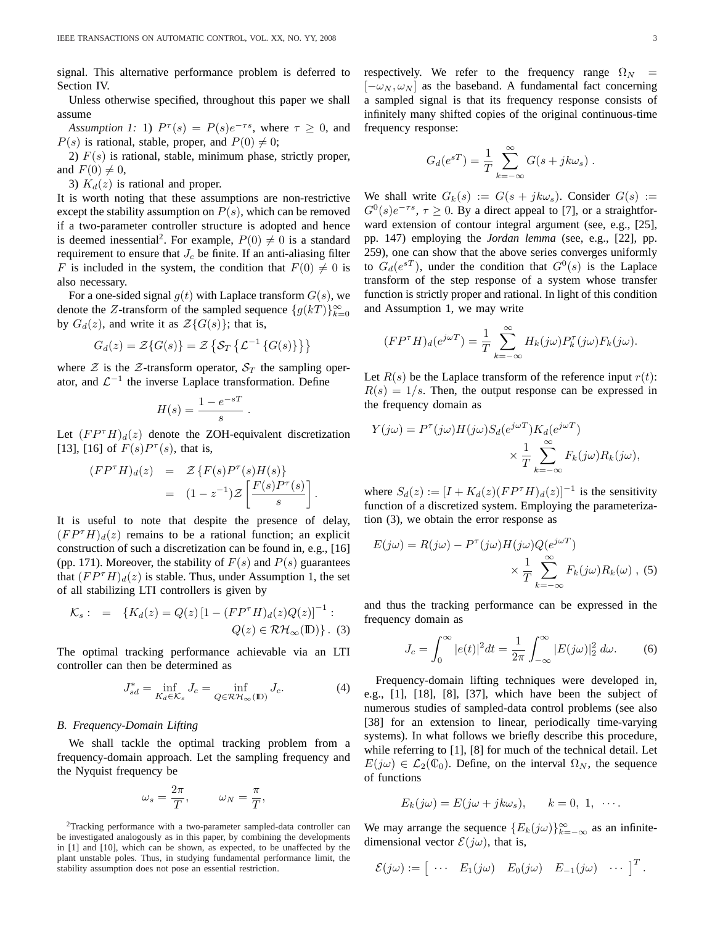signal. This alternative performance problem is deferred to Section IV.

Unless otherwise specified, throughout this paper we shall assume

*Assumption 1:* 1)  $P^{\tau}(s) = P(s)e^{-\tau s}$ , where  $\tau \ge 0$ , and  $P(s)$  is rational, stable, proper, and  $P(0) \neq 0$ ;

2)  $F(s)$  is rational, stable, minimum phase, strictly proper, and  $F(0) \neq 0$ ,

3)  $K_d(z)$  is rational and proper.

It is worth noting that these assumptions are non-restrictive except the stability assumption on  $P(s)$ , which can be removed if a two-parameter controller structure is adopted and hence is deemed inessential<sup>2</sup>. For example,  $P(0) \neq 0$  is a standard requirement to ensure that  $J_c$  be finite. If an anti-aliasing filter F is included in the system, the condition that  $F(0) \neq 0$  is also necessary.

For a one-sided signal  $g(t)$  with Laplace transform  $G(s)$ , we denote the Z-transform of the sampled sequence  $\{g(kT)\}_{k=0}^{\infty}$ by  $G_d(z)$ , and write it as  $\mathcal{Z}{G(s)}$ ; that is,

$$
G_d(z) = \mathcal{Z}\{G(s)\} = \mathcal{Z}\left\{\mathcal{S}_T\left\{\mathcal{L}^{-1}\left\{G(s)\right\}\right\}\right\}
$$

where  $\mathcal Z$  is the  $\mathcal Z$ -transform operator,  $\mathcal S_T$  the sampling operator, and  $\mathcal{L}^{-1}$  the inverse Laplace transformation. Define

$$
H(s) = \frac{1 - e^{-sT}}{s}.
$$

Let  $(FP^{\tau}H)_d(z)$  denote the ZOH-equivalent discretization [13], [16] of  $F(s)P^{\tau}(s)$ , that is,

$$
\begin{array}{rcl} (F P^{\tau} H)_d(z) & = & \mathcal{Z} \left\{ F(s) P^{\tau}(s) H(s) \right\} \\ & = & (1 - z^{-1}) \mathcal{Z} \left[ \frac{F(s) P^{\tau}(s)}{s} \right]. \end{array}
$$

It is useful to note that despite the presence of delay,  $(FP<sup>\tau</sup>H)<sub>d</sub>(z)$  remains to be a rational function; an explicit construction of such a discretization can be found in, e.g., [16] (pp. 171). Moreover, the stability of  $F(s)$  and  $P(s)$  guarantees that  $(FP^{\tau}H)_d(z)$  is stable. Thus, under Assumption 1, the set of all stabilizing LTI controllers is given by

$$
\mathcal{K}_s: = \{ K_d(z) = Q(z) \left[ 1 - (FP^{\tau} H)_d(z) Q(z) \right]^{-1} : Q(z) \in \mathcal{RH}_{\infty}(\mathbb{D}) \} .
$$
 (3)

The optimal tracking performance achievable via an LTI controller can then be determined as

$$
J_{sd}^* = \inf_{K_d \in \mathcal{K}_s} J_c = \inf_{Q \in \mathcal{RH}_{\infty}(\mathbb{D})} J_c.
$$
 (4)

## *B. Frequency-Domain Lifting*

We shall tackle the optimal tracking problem from a frequency-domain approach. Let the sampling frequency and the Nyquist frequency be

$$
\omega_s = \frac{2\pi}{T}, \qquad \omega_N = \frac{\pi}{T},
$$

<sup>2</sup>Tracking performance with a two-parameter sampled-data controller can be investigated analogously as in this paper, by combining the developments in [1] and [10], which can be shown, as expected, to be unaffected by the plant unstable poles. Thus, in studying fundamental performance limit, the stability assumption does not pose an essential restriction.

respectively. We refer to the frequency range  $\Omega_N$  =  $[-\omega_N, \omega_N]$  as the baseband. A fundamental fact concerning a sampled signal is that its frequency response consists of infinitely many shifted copies of the original continuous-time frequency response:

$$
G_d(e^{sT}) = \frac{1}{T} \sum_{k=-\infty}^{\infty} G(s + jk\omega_s).
$$

We shall write  $G_k(s) := G(s + j k \omega_s)$ . Consider  $G(s) :=$  $G^0(s)e^{-\tau s}$ ,  $\tau \ge 0$ . By a direct appeal to [7], or a straightforward extension of contour integral argument (see, e.g., [25], pp. 147) employing the *Jordan lemma* (see, e.g., [22], pp. 259), one can show that the above series converges uniformly to  $G_d(e^{sT})$ , under the condition that  $G^0(s)$  is the Laplace transform of the step response of a system whose transfer function is strictly proper and rational. In light of this condition and Assumption 1, we may write

$$
(FP^{\tau}H)_d(e^{j\omega T}) = \frac{1}{T} \sum_{k=-\infty}^{\infty} H_k(j\omega) P_k^{\tau}(j\omega) F_k(j\omega).
$$

Let  $R(s)$  be the Laplace transform of the reference input  $r(t)$ :  $R(s) = 1/s$ . Then, the output response can be expressed in the frequency domain as

$$
Y(j\omega) = P^{\tau}(j\omega)H(j\omega)S_d(e^{j\omega T})K_d(e^{j\omega T})
$$

$$
\times \frac{1}{T} \sum_{k=-\infty}^{\infty} F_k(j\omega)R_k(j\omega),
$$

where  $S_d(z) := [I + K_d(z)(FP^{\tau}H)_d(z)]^{-1}$  is the sensitivity function of a discretized system. Employing the parameterization (3), we obtain the error response as

$$
E(j\omega) = R(j\omega) - P^{\tau}(j\omega)H(j\omega)Q(e^{j\omega T})
$$

$$
\times \frac{1}{T} \sum_{k=-\infty}^{\infty} F_k(j\omega)R_k(\omega) , (5)
$$

and thus the tracking performance can be expressed in the frequency domain as

$$
J_c = \int_0^\infty |e(t)|^2 dt = \frac{1}{2\pi} \int_{-\infty}^\infty |E(j\omega)|_2^2 d\omega.
$$
 (6)

Frequency-domain lifting techniques were developed in, e.g., [1], [18], [8], [37], which have been the subject of numerous studies of sampled-data control problems (see also [38] for an extension to linear, periodically time-varying systems). In what follows we briefly describe this procedure, while referring to [1], [8] for much of the technical detail. Let  $E(j\omega) \in \mathcal{L}_2(\mathbb{C}_0)$ . Define, on the interval  $\Omega_N$ , the sequence of functions

$$
E_k(j\omega) = E(j\omega + jk\omega_s), \qquad k = 0, 1, \cdots.
$$

We may arrange the sequence  ${E_k(j\omega)}_{k=-\infty}^{\infty}$  as an infinitedimensional vector  $\mathcal{E}(j\omega)$ , that is,

$$
\mathcal{E}(j\omega) := \left[ \begin{array}{ccc} \cdots & E_1(j\omega) & E_0(j\omega) & E_{-1}(j\omega) & \cdots \end{array} \right]^T.
$$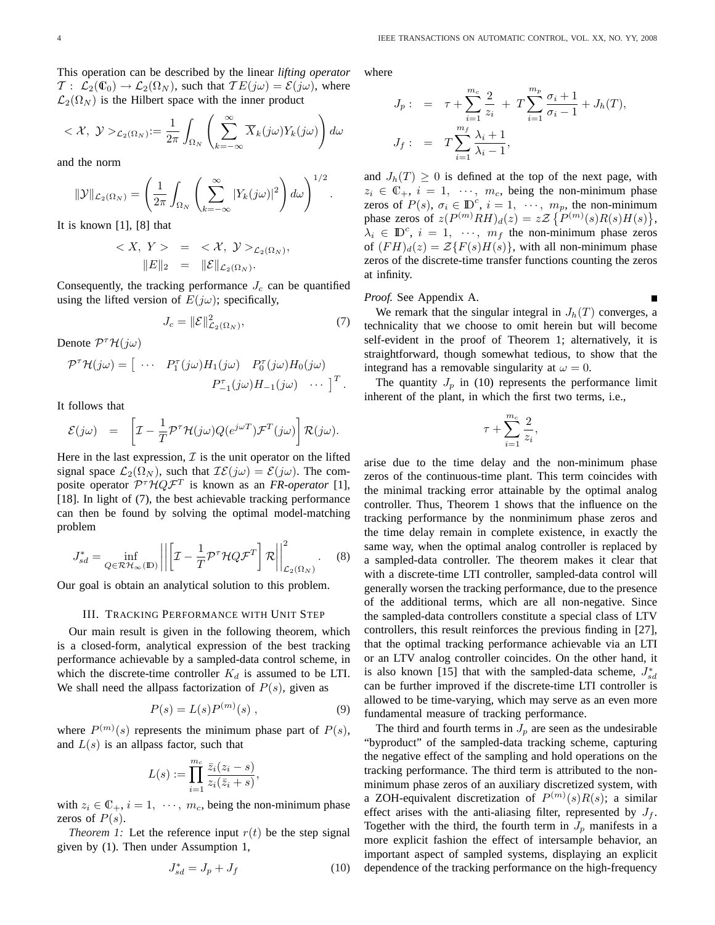This operation can be described by the linear *lifting operator*  $\mathcal{T}: \mathcal{L}_2(\mathbb{C}_0) \to \mathcal{L}_2(\Omega_N)$ , such that  $\mathcal{T}E(j\omega) = \mathcal{E}(j\omega)$ , where  $\mathcal{L}_2(\Omega_N)$  is the Hilbert space with the inner product

$$
\langle X, \ y \rangle_{\mathcal{L}_2(\Omega_N)} := \frac{1}{2\pi} \int_{\Omega_N} \left( \sum_{k=-\infty}^{\infty} \overline{X}_k(j\omega) Y_k(j\omega) \right) d\omega
$$

and the norm

$$
\|\mathcal{Y}\|_{\mathcal{L}_2(\Omega_N)} = \left(\frac{1}{2\pi} \int_{\Omega_N} \left(\sum_{k=-\infty}^{\infty} |Y_k(j\omega)|^2\right) d\omega\right)^{1/2}.
$$

It is known [1], [8] that

$$
\langle X, Y \rangle = \langle X, Y \rangle_{\mathcal{L}_2(\Omega_N)},
$$
  

$$
\|E\|_2 = \|\mathcal{E}\|_{\mathcal{L}_2(\Omega_N)}.
$$

Consequently, the tracking performance  $J_c$  can be quantified using the lifted version of  $E(j\omega)$ ; specifically,

$$
J_c = \|\mathcal{E}\|_{\mathcal{L}_2(\Omega_N)}^2,\tag{7}
$$

Denote  $\mathcal{P}^{\tau} \mathcal{H}(j\omega)$ 

$$
\mathcal{P}^{\tau}\mathcal{H}(j\omega) = \begin{bmatrix} \cdots & P_1^{\tau}(j\omega)H_1(j\omega) & P_0^{\tau}(j\omega)H_0(j\omega) \\ P_{-1}^{\tau}(j\omega)H_{-1}(j\omega) & \cdots \end{bmatrix}^T.
$$

It follows that

$$
\mathcal{E}(j\omega) = \left[\mathcal{I} - \frac{1}{T}\mathcal{P}^{\tau}\mathcal{H}(j\omega)Q(e^{j\omega T})\mathcal{F}^T(j\omega)\right]\mathcal{R}(j\omega).
$$

Here in the last expression,  $\mathcal I$  is the unit operator on the lifted signal space  $\mathcal{L}_2(\Omega_N)$ , such that  $\mathcal{IE}(j\omega) = \mathcal{E}(j\omega)$ . The composite operator  $\mathcal{P}^{\tau} \mathcal{H} Q \mathcal{F}^{T}$  is known as an *FR-operator* [1], [18]. In light of (7), the best achievable tracking performance can then be found by solving the optimal model-matching problem

$$
J_{sd}^* = \inf_{Q \in \mathcal{RH}_{\infty}(\mathbb{D})} \left| \left| \left[ \mathcal{I} - \frac{1}{T} \mathcal{P}^\tau \mathcal{H} Q \mathcal{F}^T \right] \mathcal{R} \right| \right|_{\mathcal{L}_2(\Omega_N)}^2.
$$
 (8)

Our goal is obtain an analytical solution to this problem.

## III. TRACKING PERFORMANCE WITH UNIT STEP

Our main result is given in the following theorem, which is a closed-form, analytical expression of the best tracking performance achievable by a sampled-data control scheme, in which the discrete-time controller  $K_d$  is assumed to be LTI. We shall need the allpass factorization of  $P(s)$ , given as

$$
P(s) = L(s)P^{(m)}(s) , \t\t(9)
$$

where  $P^{(m)}(s)$  represents the minimum phase part of  $P(s)$ , and  $L(s)$  is an allpass factor, such that

$$
L(s) := \prod_{i=1}^{m_c} \frac{\overline{z}_i(z_i - s)}{z_i(\overline{z}_i + s)},
$$

with  $z_i \in \mathbb{C}_+$ ,  $i = 1, \dots, m_c$ , being the non-minimum phase zeros of  $P(s)$ .

*Theorem 1:* Let the reference input  $r(t)$  be the step signal given by (1). Then under Assumption 1,

$$
J_{sd}^* = J_p + J_f \tag{10}
$$

where

$$
J_p: = \tau + \sum_{i=1}^{m_c} \frac{2}{z_i} + T \sum_{i=1}^{m_p} \frac{\sigma_i + 1}{\sigma_i - 1} + J_h(T),
$$
  

$$
J_f: = T \sum_{i=1}^{m_f} \frac{\lambda_i + 1}{\lambda_i - 1},
$$

and  $J_h(T) \geq 0$  is defined at the top of the next page, with  $z_i \in \mathbb{C}_+, i = 1, \cdots, m_c$ , being the non-minimum phase zeros of  $P(s)$ ,  $\sigma_i \in \mathbb{D}^c$ ,  $i = 1, \dots, m_p$ , the non-minimum phase zeros of  $z(P^{(m)}RH)_d(z) = z\mathcal{Z} \{P^{(m)}(s)R(s)H(s)\},$  $\lambda_i \in \mathbb{D}^c$ ,  $i = 1, \dots, m_f$  the non-minimum phase zeros of  $(FH)_d(z) = \mathcal{Z}\{F(s)H(s)\}\$ , with all non-minimum phase zeros of the discrete-time transfer functions counting the zeros at infinity.

## *Proof.* See Appendix A.

We remark that the singular integral in  $J_h(T)$  converges, a technicality that we choose to omit herein but will become self-evident in the proof of Theorem 1; alternatively, it is straightforward, though somewhat tedious, to show that the integrand has a removable singularity at  $\omega = 0$ .

The quantity  $J_p$  in (10) represents the performance limit inherent of the plant, in which the first two terms, i.e.,

$$
\tau+\sum_{i=1}^{m_c}\frac{2}{z_i},
$$

arise due to the time delay and the non-minimum phase zeros of the continuous-time plant. This term coincides with the minimal tracking error attainable by the optimal analog controller. Thus, Theorem 1 shows that the influence on the tracking performance by the nonminimum phase zeros and the time delay remain in complete existence, in exactly the same way, when the optimal analog controller is replaced by a sampled-data controller. The theorem makes it clear that with a discrete-time LTI controller, sampled-data control will generally worsen the tracking performance, due to the presence of the additional terms, which are all non-negative. Since the sampled-data controllers constitute a special class of LTV controllers, this result reinforces the previous finding in [27], that the optimal tracking performance achievable via an LTI or an LTV analog controller coincides. On the other hand, it is also known [15] that with the sampled-data scheme,  $J_{sd}^*$ can be further improved if the discrete-time LTI controller is allowed to be time-varying, which may serve as an even more fundamental measure of tracking performance.

The third and fourth terms in  $J_p$  are seen as the undesirable "byproduct" of the sampled-data tracking scheme, capturing the negative effect of the sampling and hold operations on the tracking performance. The third term is attributed to the nonminimum phase zeros of an auxiliary discretized system, with a ZOH-equivalent discretization of  $P^{(m)}(s)R(s)$ ; a similar effect arises with the anti-aliasing filter, represented by  $J_f$ . Together with the third, the fourth term in  $J_p$  manifests in a more explicit fashion the effect of intersample behavior, an important aspect of sampled systems, displaying an explicit dependence of the tracking performance on the high-frequency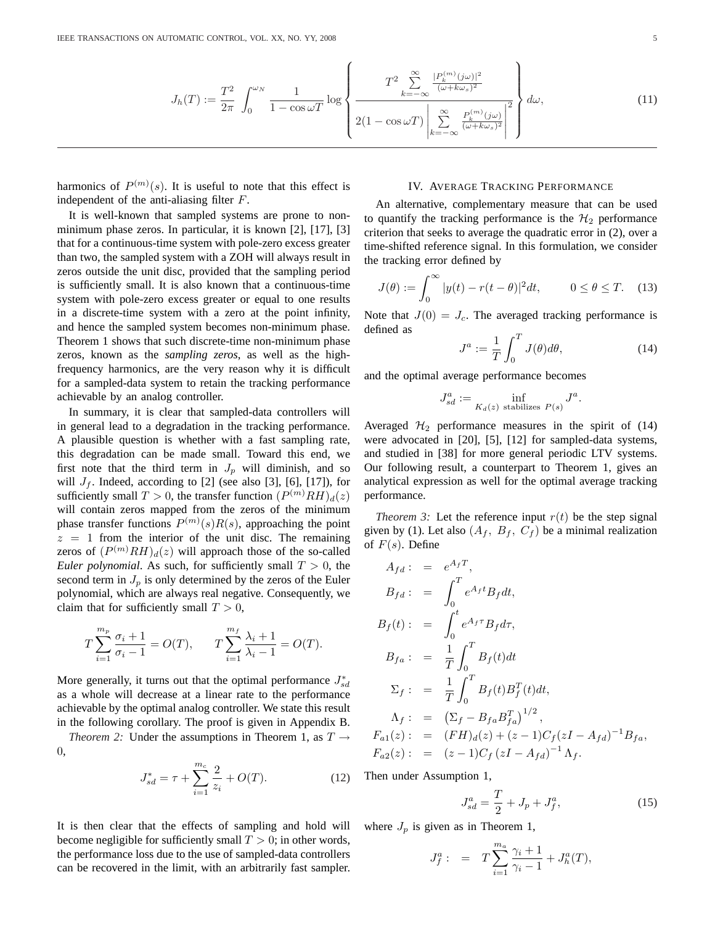$$
J_h(T) := \frac{T^2}{2\pi} \int_0^{\omega_N} \frac{1}{1 - \cos \omega T} \log \left\{ \frac{T^2 \sum_{k=-\infty}^{\infty} \frac{|P_k^{(m)}(j\omega)|^2}{(\omega + k\omega_s)^2}}{2(1 - \cos \omega T) \left| \sum_{k=-\infty}^{\infty} \frac{P_k^{(m)}(j\omega)}{(\omega + k\omega_s)^2} \right|^2} \right\} d\omega,
$$
(11)

harmonics of  $P^{(m)}(s)$ . It is useful to note that this effect is independent of the anti-aliasing filter F.

It is well-known that sampled systems are prone to nonminimum phase zeros. In particular, it is known [2], [17], [3] that for a continuous-time system with pole-zero excess greater than two, the sampled system with a ZOH will always result in zeros outside the unit disc, provided that the sampling period is sufficiently small. It is also known that a continuous-time system with pole-zero excess greater or equal to one results in a discrete-time system with a zero at the point infinity, and hence the sampled system becomes non-minimum phase. Theorem 1 shows that such discrete-time non-minimum phase zeros, known as the *sampling zeros*, as well as the highfrequency harmonics, are the very reason why it is difficult for a sampled-data system to retain the tracking performance achievable by an analog controller.

In summary, it is clear that sampled-data controllers will in general lead to a degradation in the tracking performance. A plausible question is whether with a fast sampling rate, this degradation can be made small. Toward this end, we first note that the third term in  $J_p$  will diminish, and so will  $J_f$ . Indeed, according to [2] (see also [3], [6], [17]), for sufficiently small  $T > 0$ , the transfer function  $(P^{(m)}RH)_d(z)$ will contain zeros mapped from the zeros of the minimum phase transfer functions  $P^{(m)}(s)R(s)$ , approaching the point  $z = 1$  from the interior of the unit disc. The remaining zeros of  $(P^{(m)}RH)_d(z)$  will approach those of the so-called *Euler polynomial*. As such, for sufficiently small  $T > 0$ , the second term in  $J_p$  is only determined by the zeros of the Euler polynomial, which are always real negative. Consequently, we claim that for sufficiently small  $T > 0$ ,

$$
T\sum_{i=1}^{m_p}\frac{\sigma_i+1}{\sigma_i-1}=O(T),\qquad T\sum_{i=1}^{m_f}\frac{\lambda_i+1}{\lambda_i-1}=O(T).
$$

More generally, it turns out that the optimal performance  $J_{sd}^*$ as a whole will decrease at a linear rate to the performance achievable by the optimal analog controller. We state this result in the following corollary. The proof is given in Appendix B.

*Theorem 2:* Under the assumptions in Theorem 1, as  $T \rightarrow$ 0,

$$
J_{sd}^* = \tau + \sum_{i=1}^{m_c} \frac{2}{z_i} + O(T). \tag{12}
$$

It is then clear that the effects of sampling and hold will become negligible for sufficiently small  $T > 0$ ; in other words, the performance loss due to the use of sampled-data controllers can be recovered in the limit, with an arbitrarily fast sampler.

# IV. AVERAGE TRACKING PERFORMANCE

An alternative, complementary measure that can be used to quantify the tracking performance is the  $H_2$  performance criterion that seeks to average the quadratic error in (2), over a time-shifted reference signal. In this formulation, we consider the tracking error defined by

$$
J(\theta) := \int_0^\infty |y(t) - r(t - \theta)|^2 dt, \qquad 0 \le \theta \le T. \quad (13)
$$

Note that  $J(0) = J_c$ . The averaged tracking performance is defined as  $\mathbf{r}^T$ 

$$
J^a := \frac{1}{T} \int_0^T J(\theta) d\theta,\tag{14}
$$

and the optimal average performance becomes

$$
J_{sd}^a := \inf_{K_d(z) \text{ stabilizes } P(s)} J^a.
$$

Averaged  $H_2$  performance measures in the spirit of (14) were advocated in [20], [5], [12] for sampled-data systems, and studied in [38] for more general periodic LTV systems. Our following result, a counterpart to Theorem 1, gives an analytical expression as well for the optimal average tracking performance.

*Theorem 3:* Let the reference input  $r(t)$  be the step signal given by (1). Let also  $(A_f, B_f, C_f)$  be a minimal realization of  $F(s)$ . Define

$$
A_{fd} := e^{A_f T},
$$
  
\n
$$
B_{fd} := \int_0^T e^{A_f t} B_f dt,
$$
  
\n
$$
B_f(t) := \int_0^t e^{A_f \tau} B_f d\tau,
$$
  
\n
$$
B_{fa} := \frac{1}{T} \int_0^T B_f(t) dt
$$
  
\n
$$
\Sigma_f := \frac{1}{T} \int_0^T B_f(t) B_f^T(t) dt,
$$
  
\n
$$
\Lambda_f := (\Sigma_f - B_{fa} B_{fa}^T)^{1/2},
$$
  
\n
$$
F_{a1}(z) := (FH)_d(z) + (z - 1)C_f(zI - A_{fd})^{-1} B_{fa},
$$
  
\n
$$
F_{a2}(z) := (z - 1)C_f(zI - A_{fd})^{-1} \Lambda_f.
$$

Then under Assumption 1,

$$
J_{sd}^a = \frac{T}{2} + J_p + J_f^a,\tag{15}
$$

where  $J_p$  is given as in Theorem 1,

$$
J_f^a: = T \sum_{i=1}^{m_a} \frac{\gamma_i + 1}{\gamma_i - 1} + J_h^a(T),
$$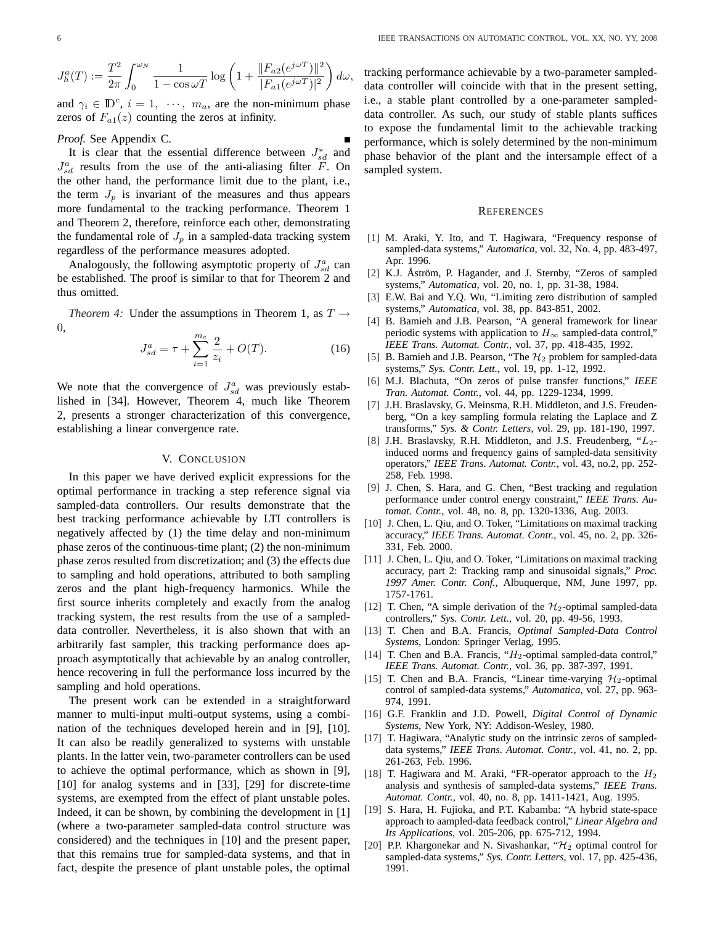$$
J_h^a(T) := \frac{T^2}{2\pi} \int_0^{\omega_N} \frac{1}{1 - \cos \omega T} \log \left( 1 + \frac{\|F_{a2}(e^{j\omega T})\|^2}{|F_{a1}(e^{j\omega T})|^2} \right) d\omega,
$$

and  $\gamma_i \in \mathbb{D}^c$ ,  $i = 1, \dots, m_a$ , are the non-minimum phase zeros of  $F_{a1}(z)$  counting the zeros at infinity.

## *Proof.* See Appendix C.

It is clear that the essential difference between  $J_{sd}^*$  and  $J_{sd}^a$  results from the use of the anti-aliasing filter F. On the other hand, the performance limit due to the plant, i.e., the term  $J_p$  is invariant of the measures and thus appears more fundamental to the tracking performance. Theorem 1 and Theorem 2, therefore, reinforce each other, demonstrating the fundamental role of  $J_p$  in a sampled-data tracking system regardless of the performance measures adopted.

Analogously, the following asymptotic property of  $J_{sd}^a$  can be established. The proof is similar to that for Theorem 2 and thus omitted.

*Theorem 4:* Under the assumptions in Theorem 1, as  $T \rightarrow$ 0,

$$
J_{sd}^a = \tau + \sum_{i=1}^{m_c} \frac{2}{z_i} + O(T). \tag{16}
$$

We note that the convergence of  $J_{sd}^a$  was previously established in [34]. However, Theorem 4, much like Theorem 2, presents a stronger characterization of this convergence, establishing a linear convergence rate.

## V. CONCLUSION

In this paper we have derived explicit expressions for the optimal performance in tracking a step reference signal via sampled-data controllers. Our results demonstrate that the best tracking performance achievable by LTI controllers is negatively affected by (1) the time delay and non-minimum phase zeros of the continuous-time plant; (2) the non-minimum phase zeros resulted from discretization; and (3) the effects due to sampling and hold operations, attributed to both sampling zeros and the plant high-frequency harmonics. While the first source inherits completely and exactly from the analog tracking system, the rest results from the use of a sampleddata controller. Nevertheless, it is also shown that with an arbitrarily fast sampler, this tracking performance does approach asymptotically that achievable by an analog controller, hence recovering in full the performance loss incurred by the sampling and hold operations.

The present work can be extended in a straightforward manner to multi-input multi-output systems, using a combination of the techniques developed herein and in [9], [10]. It can also be readily generalized to systems with unstable plants. In the latter vein, two-parameter controllers can be used to achieve the optimal performance, which as shown in [9], [10] for analog systems and in [33], [29] for discrete-time systems, are exempted from the effect of plant unstable poles. Indeed, it can be shown, by combining the development in [1] (where a two-parameter sampled-data control structure was considered) and the techniques in [10] and the present paper, that this remains true for sampled-data systems, and that in fact, despite the presence of plant unstable poles, the optimal tracking performance achievable by a two-parameter sampleddata controller will coincide with that in the present setting, i.e., a stable plant controlled by a one-parameter sampleddata controller. As such, our study of stable plants suffices to expose the fundamental limit to the achievable tracking performance, which is solely determined by the non-minimum phase behavior of the plant and the intersample effect of a sampled system.

#### **REFERENCES**

- [1] M. Araki, Y. Ito, and T. Hagiwara, "Frequency response of sampled-data systems," *Automatica*, vol. 32, No. 4, pp. 483-497, Apr. 1996.
- [2] K.J. Åström, P. Hagander, and J. Sternby, "Zeros of sampled systems," *Automatica*, vol. 20, no. 1, pp. 31-38, 1984.
- [3] E.W. Bai and Y.Q. Wu, "Limiting zero distribution of sampled systems," *Automatica*, vol. 38, pp. 843-851, 2002.
- [4] B. Bamieh and J.B. Pearson, "A general framework for linear periodic systems with application to  $H_{\infty}$  sampled-data control," *IEEE Trans. Automat. Contr.*, vol. 37, pp. 418-435, 1992.
- [5] B. Bamieh and J.B. Pearson, "The  $H_2$  problem for sampled-data systems," *Sys. Contr. Lett.*, vol. 19, pp. 1-12, 1992.
- [6] M.J. Blachuta, "On zeros of pulse transfer functions," *IEEE Tran. Automat. Contr.*, vol. 44, pp. 1229-1234, 1999.
- [7] J.H. Braslavsky, G. Meinsma, R.H. Middleton, and J.S. Freudenberg, "On a key sampling formula relating the Laplace and Z transforms," *Sys. & Contr. Letters*, vol. 29, pp. 181-190, 1997.
- [8] J.H. Braslavsky, R.H. Middleton, and J.S. Freudenberg, " $L_2$ induced norms and frequency gains of sampled-data sensitivity operators," *IEEE Trans. Automat. Contr.*, vol. 43, no.2, pp. 252- 258, Feb. 1998.
- [9] J. Chen, S. Hara, and G. Chen, "Best tracking and regulation performance under control energy constraint," *IEEE Trans. Automat. Contr.*, vol. 48, no. 8, pp. 1320-1336, Aug. 2003.
- [10] J. Chen, L. Qiu, and O. Toker, "Limitations on maximal tracking accuracy," *IEEE Trans. Automat. Contr.*, vol. 45, no. 2, pp. 326- 331, Feb. 2000.
- [11] J. Chen, L. Qiu, and O. Toker, "Limitations on maximal tracking accuracy, part 2: Tracking ramp and sinusoidal signals," *Proc. 1997 Amer. Contr. Conf.*, Albuquerque, NM, June 1997, pp. 1757-1761.
- [12] T. Chen, "A simple derivation of the  $H_2$ -optimal sampled-data controllers," *Sys. Contr. Lett.*, vol. 20, pp. 49-56, 1993.
- [13] T. Chen and B.A. Francis, *Optimal Sampled-Data Control Systems*, London: Springer Verlag, 1995.
- [14] T. Chen and B.A. Francis, " $H_2$ -optimal sampled-data control," *IEEE Trans. Automat. Contr.*, vol. 36, pp. 387-397, 1991.
- [15] T. Chen and B.A. Francis, "Linear time-varying  $\mathcal{H}_2$ -optimal control of sampled-data systems," *Automatica*, vol. 27, pp. 963- 974, 1991.
- [16] G.F. Franklin and J.D. Powell, *Digital Control of Dynamic Systems*, New York, NY: Addison-Wesley, 1980.
- [17] T. Hagiwara, "Analytic study on the intrinsic zeros of sampleddata systems," *IEEE Trans. Automat. Contr.*, vol. 41, no. 2, pp. 261-263, Feb. 1996.
- [18] T. Hagiwara and M. Araki, "FR-operator approach to the  $H_2$ analysis and synthesis of sampled-data systems," *IEEE Trans. Automat. Contr.*, vol. 40, no. 8, pp. 1411-1421, Aug. 1995.
- [19] S. Hara, H. Fujioka, and P.T. Kabamba: "A hybrid state-space approach to aampled-data feedback control," *Linear Algebra and Its Applications*, vol. 205-206, pp. 675-712, 1994.
- [20] P.P. Khargonekar and N. Sivashankar, " $H_2$  optimal control for sampled-data systems," *Sys. Contr. Letters*, vol. 17, pp. 425-436, 1991.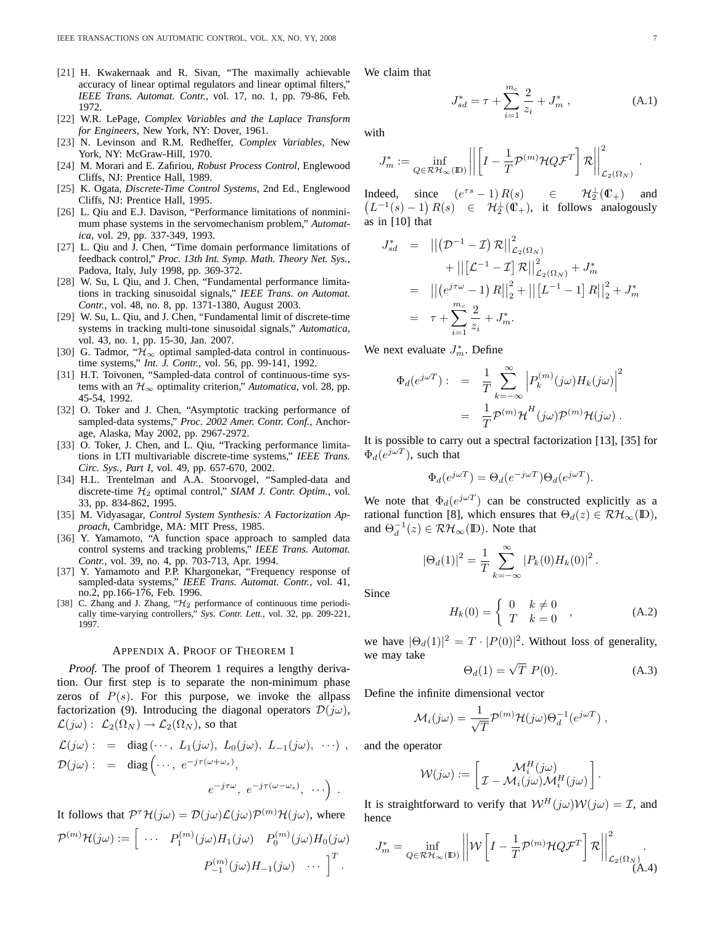- [21] H. Kwakernaak and R. Sivan, "The maximally achievable accuracy of linear optimal regulators and linear optimal filters," *IEEE Trans. Automat. Contr.*, vol. 17, no. 1, pp. 79-86, Feb. 1972.
- [22] W.R. LePage, *Complex Variables and the Laplace Transform for Engineers*, New York, NY: Dover, 1961.
- [23] N. Levinson and R.M. Redheffer, *Complex Variables*, New York, NY: McGraw-Hill, 1970.
- [24] M. Morari and E. Zafiriou, *Robust Process Control,* Englewood Cliffs, NJ: Prentice Hall, 1989.
- [25] K. Ogata, *Discrete-Time Control Systems*, 2nd Ed., Englewood Cliffs, NJ: Prentice Hall, 1995.
- [26] L. Qiu and E.J. Davison, "Performance limitations of nonminimum phase systems in the servomechanism problem," *Automatica*, vol. 29, pp. 337-349, 1993.
- [27] L. Qiu and J. Chen, "Time domain performance limitations of feedback control," *Proc. 13th Int. Symp. Math. Theory Net. Sys.*, Padova, Italy, July 1998, pp. 369-372.
- [28] W. Su, L Qiu, and J. Chen, "Fundamental performance limitations in tracking sinusoidal signals," *IEEE Trans. on Automat. Contr.*, vol. 48, no. 8, pp. 1371-1380, August 2003.
- [29] W. Su, L. Qiu, and J. Chen, "Fundamental limit of discrete-time systems in tracking multi-tone sinusoidal signals," *Automatica*, vol. 43, no. 1, pp. 15-30, Jan. 2007.
- [30] G. Tadmor, " $\mathcal{H}_{\infty}$  optimal sampled-data control in continuoustime systems," *Int. J. Contr.*, vol. 56, pp. 99-141, 1992.
- [31] H.T. Toivonen, "Sampled-data control of continuous-time systems with an  $\mathcal{H}_{\infty}$  optimality criterion," *Automatica*, vol. 28, pp. 45-54, 1992.
- [32] O. Toker and J. Chen, "Asymptotic tracking performance of sampled-data systems," *Proc. 2002 Amer. Contr. Conf.*, Anchorage, Alaska, May 2002, pp. 2967-2972.
- [33] O. Toker, J. Chen, and L. Qiu, "Tracking performance limitations in LTI multivariable discrete-time systems," *IEEE Trans. Circ. Sys., Part I*, vol. 49, pp. 657-670, 2002.
- [34] H.L. Trentelman and A.A. Stoorvogel, "Sampled-data and discrete-time H<sup>2</sup> optimal control," *SIAM J. Contr. Optim.*, vol. 33, pp. 834-862, 1995.
- [35] M. Vidyasagar, *Control System Synthesis: A Factorization Approach*, Cambridge, MA: MIT Press, 1985.
- [36] Y. Yamamoto, "A function space approach to sampled data control systems and tracking problems," *IEEE Trans. Automat. Contr.*, vol. 39, no. 4, pp. 703-713, Apr. 1994.
- [37] Y. Yamamoto and P.P. Khargonekar, "Frequency response of sampled-data systems," *IEEE Trans. Automat. Contr.*, vol. 41, no.2, pp.166-176, Feb. 1996.
- [38] C. Zhang and J. Zhang, " $\mathcal{H}_2$  performance of continuous time periodically time-varying controllers," *Sys. Contr. Lett.*, vol. 32, pp. 209-221, 1997.

## APPENDIX A. PROOF OF THEOREM 1

*Proof.* The proof of Theorem 1 requires a lengthy derivation. Our first step is to separate the non-minimum phase zeros of  $P(s)$ . For this purpose, we invoke the allpass factorization (9). Introducing the diagonal operators  $\mathcal{D}(j\omega)$ ,  $\mathcal{L}(j\omega) : \mathcal{L}_2(\Omega_N) \to \mathcal{L}_2(\Omega_N)$ , so that

$$
\mathcal{L}(j\omega) : = \text{diag}(\cdots, L_1(j\omega), L_0(j\omega), L_{-1}(j\omega), \cdots),
$$
  

$$
\mathcal{D}(j\omega) : = \text{diag}(\cdots, e^{-j\tau(\omega + \omega_s)},
$$
  

$$
e^{-j\tau\omega}, e^{-j\tau(\omega - \omega_s)}, \cdots).
$$

It follows that  $P^{\tau} \mathcal{H}(j\omega) = \mathcal{D}(j\omega) \mathcal{L}(j\omega) \mathcal{P}^{(m)} \mathcal{H}(j\omega)$ , where

$$
\mathcal{P}^{(m)}\mathcal{H}(j\omega) := \left[\begin{array}{ccc} \dots & P_1^{(m)}(j\omega)H_1(j\omega) & P_0^{(m)}(j\omega)H_0(j\omega) \\ & & \dots & P_{-1}^{(m)}(j\omega)H_{-1}(j\omega) & \dots \end{array}\right]^T.
$$

We claim that

$$
J_{sd}^* = \tau + \sum_{i=1}^{m_c} \frac{2}{z_i} + J_m^*,
$$
 (A.1)

with

$$
J_m^* := \inf_{Q \in \mathcal{RH}_{\infty}(\mathbb{D})} \left\| \left[ I - \frac{1}{T} \mathcal{P}^{(m)} \mathcal{H} Q \mathcal{F}^T \right] \mathcal{R} \right\|_{\mathcal{L}_2(\Omega_N)}^2.
$$

Indeed, since  $(e^{\tau s} - 1) R(s) \in \mathcal{H}_2^{\perp}$  $\frac{1}{2}(\mathbb{C}_{+})$  and  $L^{-1}(s) - 1$   $R(s) \in H_2^{\perp}(\mathbb{C}_+),$  it follows analogously as in [10] that

$$
J_{sd}^* = ||(\mathcal{D}^{-1} - \mathcal{I}) \mathcal{R}||_{\mathcal{L}_2(\Omega_N)}^2
$$
  
+  $||[\mathcal{L}^{-1} - \mathcal{I}] \mathcal{R}||_{\mathcal{L}_2(\Omega_N)}^2 + J_m^*$   
=  $||(e^{j\tau\omega} - 1) \mathcal{R}||_2^2 + ||[L^{-1} - 1] \mathcal{R}||_2^2 + J_m^*$   
=  $\tau + \sum_{i=1}^{m_c} \frac{2}{z_i} + J_m^*.$ 

We next evaluate  $J_m^*$ . Define

$$
\Phi_d(e^{j\omega T}) : = \frac{1}{T} \sum_{k=-\infty}^{\infty} \left| P_k^{(m)}(j\omega) H_k(j\omega) \right|^2
$$
  

$$
= \frac{1}{T} \mathcal{P}^{(m)} \mathcal{H}^H(j\omega) \mathcal{P}^{(m)} \mathcal{H}(j\omega) .
$$

It is possible to carry out a spectral factorization [13], [35] for  $\Phi_d(e^{j\omega T})$ , such that

$$
\Phi_d(e^{j\omega T}) = \Theta_d(e^{-j\omega T})\Theta_d(e^{j\omega T}).
$$

We note that  $\Phi_d(e^{j\omega T})$  can be constructed explicitly as a rational function [8], which ensures that  $\Theta_d(z) \in \mathcal{RH}_{\infty}(\mathbb{D}),$ and  $\Theta_d^{-1}(z) \in \mathcal{RH}_{\infty}(\mathbb{D})$ . Note that

$$
|\Theta_d(1)|^2 = \frac{1}{T} \sum_{k=-\infty}^{\infty} |P_k(0)H_k(0)|^2.
$$

Since

$$
H_k(0) = \begin{cases} 0 & k \neq 0 \\ T & k = 0 \end{cases}
$$
 (A.2)

we have  $|\Theta_d(1)|^2 = T \cdot |P(0)|^2$ . Without loss of generality, we may take

$$
\Theta_d(1) = \sqrt{T} \ P(0). \tag{A.3}
$$

Define the infinite dimensional vector

$$
\mathcal{M}_i(j\omega) = \frac{1}{\sqrt{T}} \mathcal{P}^{(m)} \mathcal{H}(j\omega) \Theta_d^{-1} (e^{j\omega T}),
$$

and the operator

$$
\mathcal{W}(j\omega) := \begin{bmatrix} \mathcal{M}_i^H(j\omega) \\ \mathcal{I} - \mathcal{M}_i(j\omega)\mathcal{M}_i^H(j\omega) \end{bmatrix}.
$$

It is straightforward to verify that  $W^H(j\omega)W(j\omega) = \mathcal{I}$ , and hence

$$
J_m^* = \inf_{Q \in \mathcal{RH}_{\infty}(\mathbb{D})} \left| \left| \mathcal{W} \left[ I - \frac{1}{T} \mathcal{P}^{(m)} \mathcal{H} Q \mathcal{F}^T \right] \mathcal{R} \right| \right|_{\mathcal{L}_2(\Omega_N)}^2.
$$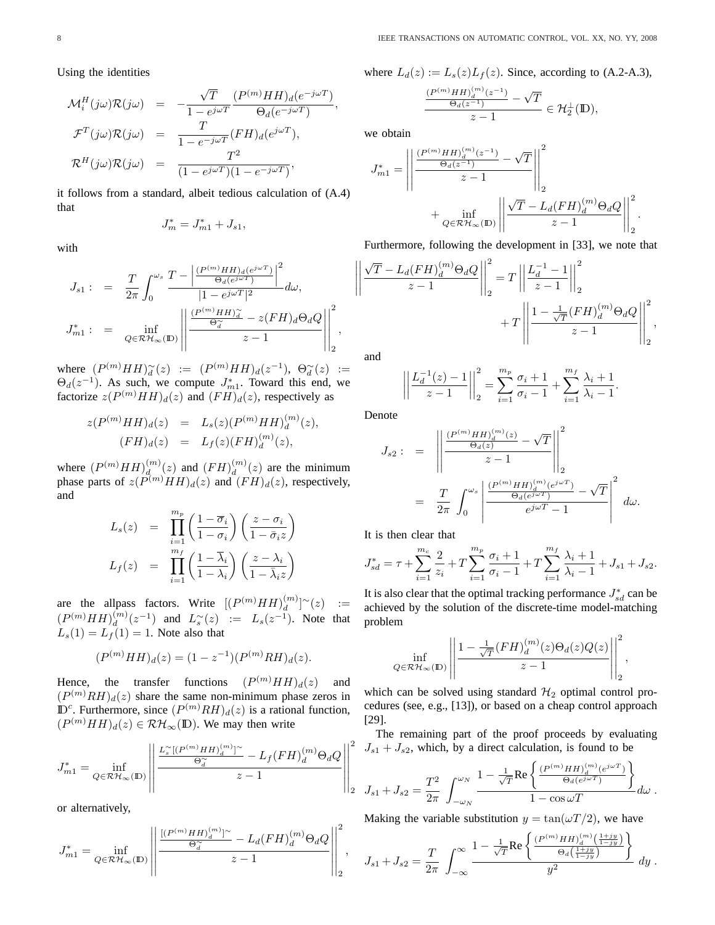Using the identities

$$
\mathcal{M}_i^H(j\omega)\mathcal{R}(j\omega) = -\frac{\sqrt{T}}{1 - e^{j\omega T}} \frac{(P^{(m)}HH)_d(e^{-j\omega T})}{\Theta_d(e^{-j\omega T})},
$$
  

$$
\mathcal{F}^T(j\omega)\mathcal{R}(j\omega) = \frac{T}{1 - e^{-j\omega T}} (FH)_d(e^{j\omega T}),
$$
  

$$
\mathcal{R}^H(j\omega)\mathcal{R}(j\omega) = \frac{T^2}{(1 - e^{j\omega T})(1 - e^{-j\omega T})},
$$

it follows from a standard, albeit tedious calculation of (A.4) that

$$
J_m^* = J_{m1}^* + J_{s1},
$$

with

$$
J_{s1}: = \frac{T}{2\pi} \int_0^{\omega_s} \frac{T - \left| \frac{(P^{(m)}HH)_d(e^{j\omega T})}{\Theta_d(e^{j\omega T})} \right|^2} {|1 - e^{j\omega T}|^2} d\omega,
$$
  

$$
J_{m1}^*: = \inf_{Q \in \mathcal{RH}_{\infty}(\mathbb{D})} \left| \left| \frac{\frac{(P^{(m)}HH)_d^{\infty}}{\Theta_d^{\infty}} - z(FH)_d\Theta_dQ}{z - 1} \right| \right|_2^2,
$$

where  $(P^{(m)}HH)\widetilde{d}(z) := (P^{(m)}HH)d(z^{-1}), \Theta_d^{\sim}(z) :=$  $\Theta_d(z^{-1})$ . As such, we compute  $J_{m1}^*$ . Toward this end, we factorize  $z(P^{(m)}HH)_d(z)$  and  $(FH)_d(z)$ , respectively as

$$
z(P^{(m)}HH)_d(z) = L_s(z)(P^{(m)}HH)_d^{(m)}(z),
$$
  
\n
$$
(FH)_d(z) = L_f(z)(FH)_d^{(m)}(z),
$$

where  $(P^{(m)}HH)_d^{(m)}$  $\binom{m}{d}(z)$  and  $(FH)\binom{m}{d}$  $\binom{m}{d}(z)$  are the minimum phase parts of  $z(P^{(m)}HH)_d(z)$  and  $(FH)_d(z)$ , respectively, and

$$
L_s(z) = \prod_{i=1}^{m_p} \left(\frac{1-\overline{\sigma}_i}{1-\sigma_i}\right) \left(\frac{z-\sigma_i}{1-\overline{\sigma}_i z}\right)
$$
  

$$
L_f(z) = \prod_{i=1}^{m_f} \left(\frac{1-\overline{\lambda}_i}{1-\lambda_i}\right) \left(\frac{z-\lambda_i}{1-\overline{\lambda}_i z}\right)
$$

are the allpass factors. Write  $[(P^{(m)}HH)_d^{(m)}]$  $\binom{m}{d}^{\sim}(z)$  :=  $(P^{(m)}HH)_d^{(m)}$  $\binom{m}{d}(z^{-1})$  and  $L_s^{\sim}(z) := L_s(z^{-1})$ . Note that  $L_s(1) = L_f(1) = 1$ . Note also that

$$
(P^{(m)}HH)_d(z) = (1 - z^{-1})(P^{(m)}RH)_d(z).
$$

Hence, the transfer functions  $(P^{(m)}HH)_d(z)$  and  $(P^{(m)}RH)_d(z)$  share the same non-minimum phase zeros in  $\mathbb{D}^c$ . Furthermore, since  $(P^{(m)}RH)_d(z)$  is a rational function,  $(P^{(m)}HH)_d(z) \in \mathcal{RH}_{\infty}(\mathbb{D})$ . We may then write

$$
J_{m1}^* = \inf_{Q \in \mathcal{RH}_{\infty}(\mathbb{D})} \left\| \frac{\frac{L_s^{\infty}[(P^{(m)}HH)_{d}^{(m)}]^\sim}{\Theta_d^{\infty}} - L_f(FH)_{d}^{(m)}\Theta_dQ}{z - 1} \right\|_2^2
$$

or alternatively,

$$
J_{m1}^* = \inf_{Q \in \mathcal{RH}_{\infty}(\mathbb{D})} \left\| \frac{\frac{\left[ (P^{(m)} H H)_d^{(m)} \right]^\sim}{\Theta_d^\sim} - L_d (FH)_d^{(m)} \Theta_d Q}{z - 1} \right\|_2^2,
$$

where  $L_d(z) := L_s(z)L_f(z)$ . Since, according to (A.2-A.3),

$$
\frac{\frac{(P^{(m)}HH)^{(m)}_d(z^{-1})}{\Theta_d(z^{-1})}-\sqrt{T}}{z-1}\in\mathcal{H}_2^\perp(\mathbb{D}),
$$

we obtain

$$
J_{m1}^* = \left|\left|\frac{\frac{(P^{(m)}HH)_d^{(m)}(z^{-1})}{\Theta_d(z^{-1})}-\sqrt{T}}{z-1}\right|\right|_2^2 + \inf_{Q \in \mathcal{RH}_{\infty}(\mathbb{D})} \left|\left|\frac{\sqrt{T}-L_d(FH)_d^{(m)}\Theta_dQ}{z-1}\right|\right|_2^2.
$$

Furthermore, following the development in [33], we note that

$$
\left\| \frac{\sqrt{T} - L_d(FH)_d^{(m)} \Theta_d Q}{z - 1} \right\|_2^2 = T \left\| \frac{L_d^{-1} - 1}{z - 1} \right\|_2^2 + T \left\| \frac{1 - \frac{1}{\sqrt{T}} (FH)_d^{(m)} \Theta_d Q}{z - 1} \right\|_2^2,
$$

and

$$
\left| \left| \frac{L_d^{-1}(z) - 1}{z - 1} \right| \right|_2^2 = \sum_{i=1}^{m_p} \frac{\sigma_i + 1}{\sigma_i - 1} + \sum_{i=1}^{m_f} \frac{\lambda_i + 1}{\lambda_i - 1}.
$$

Denote

$$
J_{s2} : = \left\| \frac{\left(\frac{(P^{(m)}HH)_d^{(m)}(z)}{\Theta_d(z)} - \sqrt{T}\right)}{z - 1} \right\|_2^2
$$
  

$$
= \frac{T}{2\pi} \int_0^{\omega_s} \left| \frac{\frac{(P^{(m)}HH)_d^{(m)}(e^{j\omega T})}{\Theta_d(e^{j\omega T})} - \sqrt{T}}{e^{j\omega T} - 1} \right|^2 d\omega.
$$

It is then clear that

$$
J_{sd}^* = \tau + \sum_{i=1}^{m_c} \frac{2}{z_i} + T \sum_{i=1}^{m_p} \frac{\sigma_i + 1}{\sigma_i - 1} + T \sum_{i=1}^{m_f} \frac{\lambda_i + 1}{\lambda_i - 1} + J_{s1} + J_{s2}.
$$

It is also clear that the optimal tracking performance  $J_{sd}^*$  can be achieved by the solution of the discrete-time model-matching problem

$$
\inf_{Q \in \mathcal{RH}_{\infty}(\mathbb{D})} \left\| \frac{1 - \frac{1}{\sqrt{T}} (FH)_{d}^{(m)}(z) \Theta_d(z) Q(z)}{z - 1} \right\|_{2}^{2},
$$

which can be solved using standard  $H_2$  optimal control procedures (see, e.g., [13]), or based on a cheap control approach [29].

The remaining part of the proof proceeds by evaluating  $J_{s1} + J_{s2}$ , which, by a direct calculation, is found to be

$$
J_{s1}+J_{s2}=\frac{T^2}{2\pi}\int_{-\omega_N}^{\omega_N}\frac{1-\frac{1}{\sqrt{T}}{\rm Re}\left\{\frac{(P^{(m)}HH)^{(m)}_d(e^{j\omega T})}{\Theta_d(e^{j\omega T})}\right\}}{1-\cos\omega T}d\omega\;.
$$

Making the variable substitution  $y = \tan(\omega T/2)$ , we have  $\ddot{\phantom{0}}$ 

$$
J_{s1} + J_{s2} = \frac{T}{2\pi} \int_{-\infty}^{\infty} \frac{1 - \frac{1}{\sqrt{T}} \text{Re} \left\{ \frac{(P^{(m)} H H)^{(m)} \left(\frac{1+jy}{1-jy}\right)}{\Theta_d \left(\frac{1+jy}{1-jy}\right)} \right\}}{y^2} \, dy \, .
$$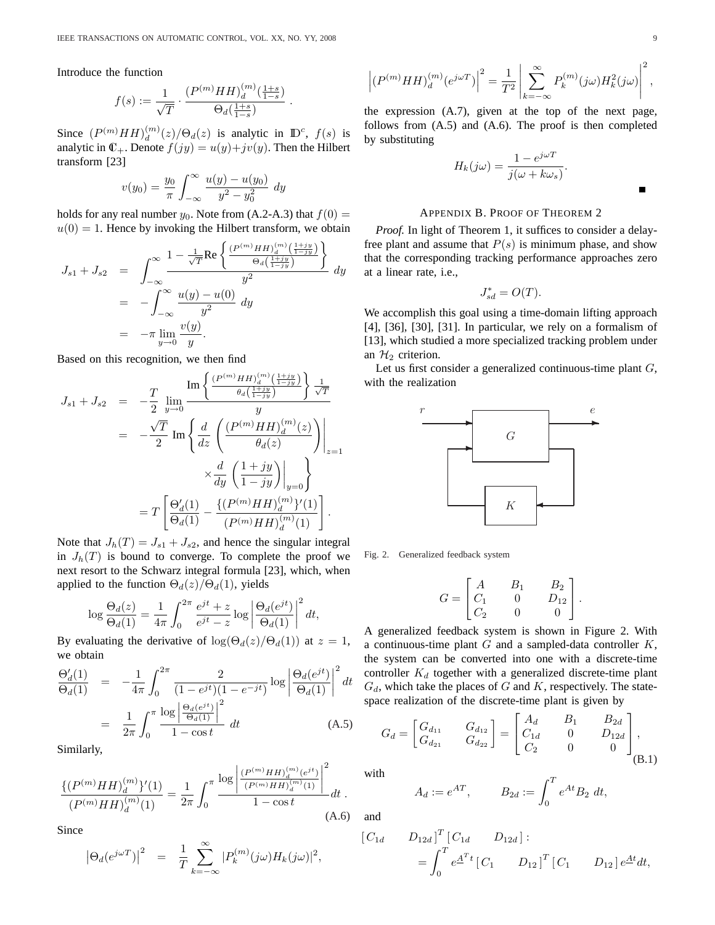Introduce the function

$$
f(s):=\frac{1}{\sqrt{T}}\cdot\frac{(P^{(m)}HH)^{(m)}_d(\frac{1+s}{1-s})}{\Theta_d(\frac{1+s}{1-s})}\;.
$$

Since  $(P^{(m)}HH)_d^{(m)}$  $\binom{m}{d}(z)/\Theta_d(z)$  is analytic in  $\mathbb{D}^c$ ,  $f(s)$  is analytic in  $\mathbb{C}_+$ . Denote  $f(jy) = u(y) + jv(y)$ . Then the Hilbert transform [23]

$$
v(y_0) = \frac{y_0}{\pi} \int_{-\infty}^{\infty} \frac{u(y) - u(y_0)}{y^2 - y_0^2} dy
$$

holds for any real number  $y_0$ . Note from (A.2-A.3) that  $f(0) =$  $u(0) = 1$ . Hence by invoking the Hilbert transform, we obtain  $\ddot{\phantom{0}}$ 

$$
J_{s1} + J_{s2} = \int_{-\infty}^{\infty} \frac{1 - \frac{1}{\sqrt{T}} \text{Re} \left\{ \frac{(P^{(m)} H H)^{(m)} \left(\frac{1 + jy}{1 - jy}\right)}{\Theta_d \left(\frac{1 + jy}{1 - jy}\right)} \right\}}{y^2} dy
$$
  
= 
$$
-\int_{-\infty}^{\infty} \frac{u(y) - u(0)}{y^2} dy
$$
  
= 
$$
-\pi \lim_{y \to 0} \frac{v(y)}{y}.
$$

Based on this recognition, we then find

$$
J_{s1} + J_{s2} = -\frac{T}{2} \lim_{y \to 0} \frac{\text{Im}\left\{ \frac{(P^{(m)}HH)_d^{(m)}\left(\frac{1+jy}{1-jy}\right)}{\theta_d\left(\frac{1+jy}{1-jy}\right)} \right\} \frac{1}{\sqrt{T}}}{y}
$$
  

$$
= -\frac{\sqrt{T}}{2} \text{Im}\left\{ \frac{d}{dz} \left( \frac{(P^{(m)}HH)_d^{(m)}(z)}{\theta_d(z)} \right) \Big|_{z=1}
$$

$$
\times \frac{d}{dy} \left( \frac{1+jy}{1-jy} \right) \Big|_{y=0} \right\}
$$

$$
= T \left[ \frac{\Theta_d'(1)}{\Theta_d(1)} - \frac{\{(P^{(m)}HH)_d^{(m)}\}'(1)}{(P^{(m)}HH)_d^{(m)}(1)} \right].
$$

Note that  $J_h(T) = J_{s1} + J_{s2}$ , and hence the singular integral in  $J_h(T)$  is bound to converge. To complete the proof we next resort to the Schwarz integral formula [23], which, when applied to the function  $\Theta_d(z)/\Theta_d(1)$ , yields

$$
\log \frac{\Theta_d(z)}{\Theta_d(1)} = \frac{1}{4\pi} \int_0^{2\pi} \frac{e^{jt} + z}{e^{jt} - z} \log \left| \frac{\Theta_d(e^{jt})}{\Theta_d(1)} \right|^2 dt,
$$

By evaluating the derivative of  $\log(\Theta_d(z)/\Theta_d(1))$  at  $z=1$ , we obtain

$$
\frac{\Theta_d'(1)}{\Theta_d(1)} = -\frac{1}{4\pi} \int_0^{2\pi} \frac{2}{(1 - e^{jt})(1 - e^{-jt})} \log \left| \frac{\Theta_d(e^{jt})}{\Theta_d(1)} \right|^2 dt
$$

$$
= \frac{1}{2\pi} \int_0^{\pi} \frac{\log \left| \frac{\Theta_d(e^{jt})}{\Theta_d(1)} \right|^2}{1 - \cos t} dt \tag{A.5}
$$

Similarly,

$$
\frac{\{(P^{(m)}HH)_d^{(m)}\}'(1)}{(P^{(m)}HH)_d^{(m)}(1)} = \frac{1}{2\pi} \int_0^\pi \frac{\log\left|\frac{(P^{(m)}HH)_d^{(m)}(e^{jt})}{(P^{(m)}HH)_d^{(m)}(1)}\right|^2}{1 - \cos t} dt.
$$
\n(A.6)

Since

$$
\left|\Theta_d(e^{j\omega T})\right|^2 = \frac{1}{T} \sum_{k=-\infty}^{\infty} |P_k^{(m)}(j\omega)H_k(j\omega)|^2,
$$

$$
\left|\left(P^{(m)}HH\right)^{(m)}_d\left(e^{j\omega T}\right)\right|^2=\frac{1}{T^2}\left|\sum_{k=-\infty}^{\infty}P^{(m)}_k(j\omega)H_k^2(j\omega)\right|^2,
$$

the expression (A.7), given at the top of the next page, follows from (A.5) and (A.6). The proof is then completed by substituting

$$
H_k(j\omega) = \frac{1 - e^{j\omega T}}{j(\omega + k\omega_s)}.
$$

## APPENDIX B. PROOF OF THEOREM 2

*Proof.* In light of Theorem 1, it suffices to consider a delayfree plant and assume that  $P(s)$  is minimum phase, and show that the corresponding tracking performance approaches zero at a linear rate, i.e.,

$$
J_{sd}^* = O(T).
$$

We accomplish this goal using a time-domain lifting approach [4], [36], [30], [31]. In particular, we rely on a formalism of [13], which studied a more specialized tracking problem under an  $H_2$  criterion.

Let us first consider a generalized continuous-time plant  $G$ , with the realization



Fig. 2. Generalized feedback system

$$
G = \begin{bmatrix} A & B_1 & B_2 \\ C_1 & 0 & D_{12} \\ C_2 & 0 & 0 \end{bmatrix}.
$$

A generalized feedback system is shown in Figure 2. With a continuous-time plant  $G$  and a sampled-data controller  $K$ , the system can be converted into one with a discrete-time controller  $K_d$  together with a generalized discrete-time plant  $G_d$ , which take the places of G and K, respectively. The statespace realization of the discrete-time plant is given by  $\overline{a}$ 

$$
G_d = \begin{bmatrix} G_{d_{11}} & G_{d_{12}} \\ G_{d_{21}} & G_{d_{22}} \end{bmatrix} = \begin{bmatrix} A_d & B_1 & B_{2d} \\ C_{1d} & 0 & D_{12d} \\ C_2 & 0 & 0 \end{bmatrix},
$$
(B.1)

with

$$
A_d := e^{AT}, \t B_{2d} := \int_0^T e^{At} B_2 dt,
$$

and

$$
\begin{aligned} \begin{bmatrix} C_{1d} & D_{12d} \end{bmatrix}^T \begin{bmatrix} C_{1d} & D_{12d} \end{bmatrix} : \\ & = \int_0^T e^{\underline{A}^T t} \begin{bmatrix} C_1 & D_{12} \end{bmatrix}^T \begin{bmatrix} C_1 & D_{12} \end{bmatrix} e^{\underline{A}t} dt, \end{aligned}
$$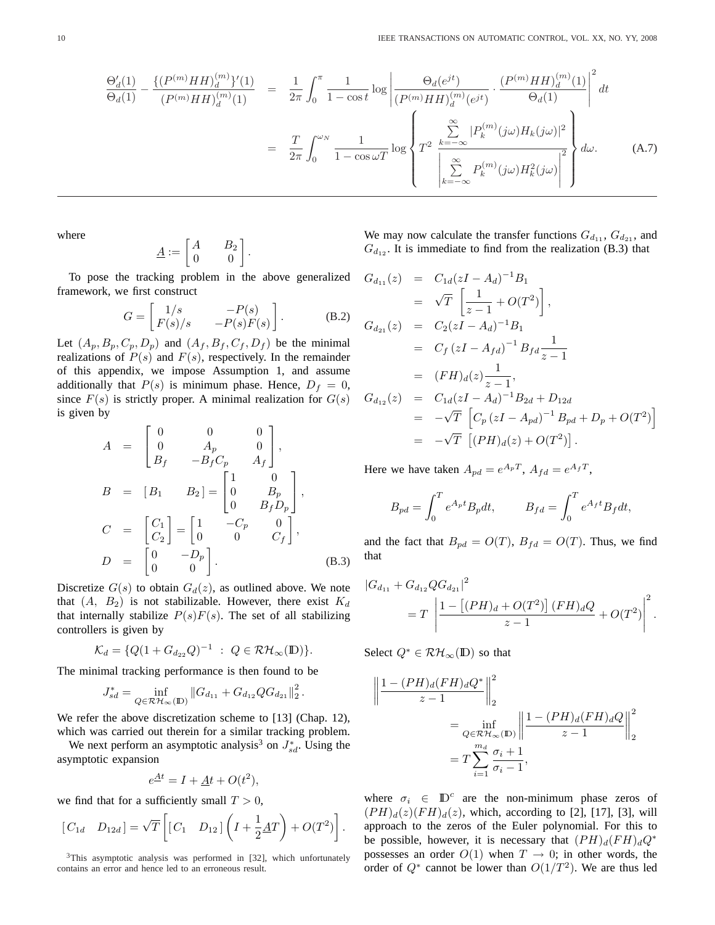$$
\frac{\Theta_d'(1)}{\Theta_d(1)} - \frac{\{(P^{(m)}HH)_d^{(m)}\}'(1)}{(P^{(m)}HH)_d^{(m)}(1)} = \frac{1}{2\pi} \int_0^{\pi} \frac{1}{1 - \cos t} \log \left| \frac{\Theta_d(e^{jt})}{(P^{(m)}HH)_d^{(m)}(e^{jt})} \cdot \frac{(P^{(m)}HH)_d^{(m)}(1)}{\Theta_d(1)} \right|^2 dt
$$
\n
$$
= \frac{T}{2\pi} \int_0^{\omega_N} \frac{1}{1 - \cos \omega T} \log \left\{ T^2 \sum_{k=-\infty}^{\infty} |P_k^{(m)}(j\omega)H_k(j\omega)|^2 \right\} d\omega. \tag{A.7}
$$

where

$$
\underline{A} := \begin{bmatrix} A & B_2 \\ 0 & 0 \end{bmatrix}.
$$

To pose the tracking problem in the above generalized framework, we first construct

$$
G = \begin{bmatrix} 1/s & -P(s) \\ F(s)/s & -P(s)F(s) \end{bmatrix}.
$$
 (B.2)

Let  $(A_p, B_p, C_p, D_p)$  and  $(A_f, B_f, C_f, D_f)$  be the minimal realizations of  $P(s)$  and  $F(s)$ , respectively. In the remainder of this appendix, we impose Assumption 1, and assume additionally that  $P(s)$  is minimum phase. Hence,  $D_f = 0$ , since  $F(s)$  is strictly proper. A minimal realization for  $G(s)$ is given by

$$
A = \begin{bmatrix} 0 & 0 & 0 \\ 0 & A_p & 0 \\ B_f & -B_f C_p & A_f \end{bmatrix},
$$
  
\n
$$
B = [B_1 \quad B_2] = \begin{bmatrix} 1 & 0 \\ 0 & B_p \\ 0 & B_f D_p \end{bmatrix},
$$
  
\n
$$
C = \begin{bmatrix} C_1 \\ C_2 \end{bmatrix} = \begin{bmatrix} 1 & -C_p & 0 \\ 0 & 0 & C_f \end{bmatrix},
$$
  
\n
$$
D = \begin{bmatrix} 0 & -D_p \\ 0 & 0 \end{bmatrix}.
$$
 (B.3)

Discretize  $G(s)$  to obtain  $G_d(z)$ , as outlined above. We note that  $(A, B_2)$  is not stabilizable. However, there exist  $K_d$ that internally stabilize  $P(s)F(s)$ . The set of all stabilizing controllers is given by

$$
\mathcal{K}_d = \{Q(1 + G_{d_{22}}Q)^{-1} \; : \; Q \in \mathcal{RH}_{\infty}(\mathbb{D})\}.
$$

The minimal tracking performance is then found to be

$$
J_{sd}^* = \inf_{Q \in \mathcal{RH}_{\infty}(\mathbb{D})} \|G_{d_{11}} + G_{d_{12}} Q G_{d_{21}}\|_2^2.
$$

We refer the above discretization scheme to [13] (Chap. 12), which was carried out therein for a similar tracking problem.

We next perform an asymptotic analysis<sup>3</sup> on  $J_{sd}^*$ . Using the asymptotic expansion

$$
e^{\underline{A}t} = I + \underline{A}t + O(t^2),
$$

we find that for a sufficiently small  $T > 0$ ,

$$
\begin{bmatrix} C_{1d} & D_{12d} \end{bmatrix} = \sqrt{T} \left[ \begin{bmatrix} C_1 & D_{12} \end{bmatrix} \left( I + \frac{1}{2} \underline{A} T \right) + O(T^2) \right].
$$

 $3$ This asymptotic analysis was performed in [32], which unfortunately contains an error and hence led to an erroneous result.

We may now calculate the transfer functions  $G_{d_{11}}$ ,  $G_{d_{21}}$ , and  $G_{d_{12}}$ . It is immediate to find from the realization (B.3) that

$$
G_{d_{11}}(z) = C_{1d}(zI - A_d)^{-1}B_1
$$
  
\n
$$
= \sqrt{T} \left[ \frac{1}{z-1} + O(T^2) \right],
$$
  
\n
$$
G_{d_{21}}(z) = C_2(zI - A_d)^{-1}B_1
$$
  
\n
$$
= C_f (zI - A_{fd})^{-1}B_{fd} \frac{1}{z-1}
$$
  
\n
$$
= (FH)_d(z) \frac{1}{z-1},
$$
  
\n
$$
G_{d_{12}}(z) = C_{1d}(zI - A_d)^{-1}B_{2d} + D_{12d}
$$
  
\n
$$
= -\sqrt{T} \left[ C_p (zI - A_{pd})^{-1}B_{pd} + D_p + O(T^2) \right]
$$
  
\n
$$
= -\sqrt{T} \left[ (PH)_d(z) + O(T^2) \right].
$$

Here we have taken  $A_{pd} = e^{A_p T}$ ,  $A_{fd} = e^{A_f T}$ ,

$$
B_{pd} = \int_0^T e^{A_p t} B_p dt, \qquad B_{fd} = \int_0^T e^{A_f t} B_f dt,
$$

and the fact that  $B_{pd} = O(T)$ ,  $B_{fd} = O(T)$ . Thus, we find that

$$
|G_{d_{11}} + G_{d_{12}} Q G_{d_{21}}|^2
$$
  
=  $T \left| \frac{1 - \left[ (PH)_d + O(T^2) \right] (FH)_d Q}{z - 1} + O(T^2) \right|^2$ .

Select  $Q^* \in \mathcal{RH}_{\infty}(\mathbb{D})$  so that

$$
\left\| \frac{1 - (PH)_d(FH)_dQ^*}{z - 1} \right\|_2^2
$$
  
= 
$$
\inf_{Q \in \mathcal{RH}_{\infty}(\mathbb{D})} \left\| \frac{1 - (PH)_d(FH)_dQ}{z - 1} \right\|_2^2
$$
  
= 
$$
T \sum_{i=1}^{m_d} \frac{\sigma_i + 1}{\sigma_i - 1},
$$

where  $\sigma_i \in \mathbb{D}^c$  are the non-minimum phase zeros of  $(PH)_d(z)(FH)_d(z)$ , which, according to [2], [17], [3], will approach to the zeros of the Euler polynomial. For this to be possible, however, it is necessary that  $(PH)_d(FH)_dQ^*$ possesses an order  $O(1)$  when  $T \rightarrow 0$ ; in other words, the order of  $Q^*$  cannot be lower than  $O(1/T^2)$ . We are thus led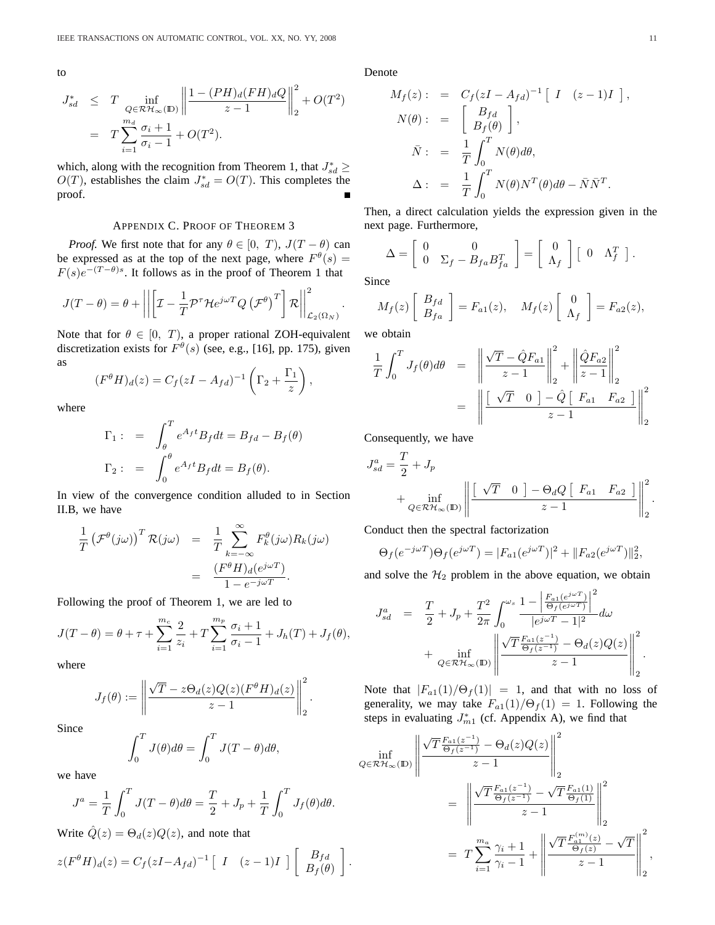to

$$
J_{sd}^* \leq T \inf_{\substack{Q \in \mathcal{RH}_{\infty}(\mathbb{D}) \\ m_d}} \left\| \frac{1 - (PH)_d(FH)_dQ}{z - 1} \right\|_2^2 + O(T^2)
$$
  
= 
$$
T \sum_{i=1}^{m_d} \frac{\sigma_i + 1}{\sigma_i - 1} + O(T^2).
$$

which, along with the recognition from Theorem 1, that  $J_{sd}^* \geq$  $O(T)$ , establishes the claim  $J_{sd}^* = O(T)$ . This completes the proof.

# APPENDIX C. PROOF OF THEOREM 3

*Proof.* We first note that for any  $\theta \in [0, T)$ ,  $J(T - \theta)$  can be expressed as at the top of the next page, where  $F^{\theta}(s) =$  $F(s)e^{-(T-\theta)s}$ . It follows as in the proof of Theorem 1 that

$$
J(T - \theta) = \theta + \left\| \left[ \mathcal{I} - \frac{1}{T} \mathcal{P}^{\tau} \mathcal{H} e^{j\omega T} Q \left( \mathcal{F}^{\theta} \right)^{T} \right] \mathcal{R} \right\|_{\mathcal{L}_{2}(\Omega_{N})}^{2}.
$$

Note that for  $\theta \in [0, T)$ , a proper rational ZOH-equivalent discretization exists for  $F^{\theta}(s)$  (see, e.g., [16], pp. 175), given as  $\overline{a}$  $\mathbf{r}$ 

$$
(F^{\theta}H)_d(z) = C_f(zI - A_{fd})^{-1} \left(\Gamma_2 + \frac{\Gamma_1}{z}\right),
$$

where

$$
\Gamma_1: = \int_{\theta}^{T} e^{A_f t} B_f dt = B_{fd} - B_f(\theta)
$$

$$
\Gamma_2: = \int_{0}^{\theta} e^{A_f t} B_f dt = B_f(\theta).
$$

In view of the convergence condition alluded to in Section II.B, we have

$$
\frac{1}{T} \left( \mathcal{F}^{\theta}(j\omega) \right)^{T} \mathcal{R}(j\omega) = \frac{1}{T} \sum_{k=-\infty}^{\infty} F_{k}^{\theta}(j\omega) R_{k}(j\omega) \n= \frac{(F^{\theta}H)_{d}(e^{j\omega T})}{1 - e^{-j\omega T}}.
$$

Following the proof of Theorem 1, we are led to

$$
J(T - \theta) = \theta + \tau + \sum_{i=1}^{m_c} \frac{2}{z_i} + T \sum_{i=1}^{m_p} \frac{\sigma_i + 1}{\sigma_i - 1} + J_h(T) + J_f(\theta),
$$

where

$$
J_f(\theta) := \left\| \frac{\sqrt{T} - z \Theta_d(z) Q(z) (F^{\theta} H)_d(z)}{z - 1} \right\|_2^2.
$$

Since

$$
\int_0^T J(\theta)d\theta = \int_0^T J(T-\theta)d\theta,
$$

we have

$$
J^a = \frac{1}{T} \int_0^T J(T - \theta) d\theta = \frac{T}{2} + J_p + \frac{1}{T} \int_0^T J_f(\theta) d\theta.
$$

Write  $\hat{Q}(z) = \Theta_d(z) Q(z)$ , and note that

$$
z(F^{\theta}H)_d(z) = C_f (zI - A_{fd})^{-1} \left[ I \quad (z-1)I \right] \left[ \begin{array}{c} B_{fd} \\ B_f(\theta) \end{array} \right]
$$

Denote

$$
M_f(z) : = C_f (zI - A_{fd})^{-1} [I (z-1)I],
$$
  
\n
$$
N(\theta) : = \begin{bmatrix} B_{fd} \\ B_f(\theta) \end{bmatrix},
$$
  
\n
$$
\bar{N} : = \frac{1}{T} \int_0^T N(\theta) d\theta,
$$
  
\n
$$
\Delta : = \frac{1}{T} \int_0^T N(\theta) N^T(\theta) d\theta - \bar{N} \bar{N}^T.
$$

Then, a direct calculation yields the expression given in the next page. Furthermore,

$$
\Delta = \left[ \begin{array}{cc} 0 & 0 \\ 0 & \Sigma_f - B_{fa} B_{fa}^T \end{array} \right] = \left[ \begin{array}{c} 0 \\ \Lambda_f \end{array} \right] \left[ \begin{array}{cc} 0 & \Lambda_f^T \end{array} \right].
$$

Since

$$
M_f(z) \begin{bmatrix} B_{fd} \\ B_{fa} \end{bmatrix} = F_{a1}(z), \quad M_f(z) \begin{bmatrix} 0 \\ \Lambda_f \end{bmatrix} = F_{a2}(z),
$$

we obtain

.

$$
\frac{1}{T} \int_0^T J_f(\theta) d\theta = \left\| \frac{\sqrt{T} - \hat{Q}F_{a1}}{z - 1} \right\|_2^2 + \left\| \frac{\hat{Q}F_{a2}}{z - 1} \right\|_2^2
$$
\n
$$
= \left\| \frac{\left[\sqrt{T} \quad 0 \quad \right] - \hat{Q} \left[\ F_{a1} \quad F_{a2} \right]}{z - 1} \right\|_2^2
$$

Consequently, we have

$$
J_{sd}^{a} = \frac{T}{2} + J_p
$$
  
+ 
$$
\inf_{Q \in \mathcal{RH}_{\infty}(\mathbb{D})} \left\| \frac{\begin{bmatrix} \sqrt{T} & 0 \end{bmatrix} - \Theta_d Q \begin{bmatrix} F_{a1} & F_{a2} \end{bmatrix} \right\|_{2}^{2}}{z - 1}.
$$

Conduct then the spectral factorization

$$
\Theta_f(e^{-j\omega T})\Theta_f(e^{j\omega T}) = |F_{a1}(e^{j\omega T})|^2 + ||F_{a2}(e^{j\omega T})||_2^2,
$$

and solve the  $H_2$  problem in the above equation, we obtain

$$
\begin{array}{rcl} J_{sd}^a&=&\displaystyle\frac{T}{2}+J_p+\frac{T^2}{2\pi}\int_0^{\omega_s}\frac{1-\left|\frac{F_{a1}(e^{j\omega T})}{\Theta_f(e^{j\omega T})}\right|^2}{|e^{j\omega T}-1|^2}d\omega\\ &&+\displaystyle\inf_{Q\in\mathcal{RH}_\infty(\mathbb{D})}\left\|\frac{\sqrt{T}\frac{F_{a1}(z^{-1})}{\Theta_f(z^{-1})}-\Theta_d(z)Q(z)}{z-1}\right\|_2^2. \end{array}
$$

Note that  $|F_{a1}(1)/\Theta_f(1)| = 1$ , and that with no loss of generality, we may take  $F_{a1}(1)/\Theta_f(1) = 1$ . Following the steps in evaluating  $J_{m1}^*$  (cf. Appendix A), we find that

$$
\inf_{Q \in \mathcal{RH}_{\infty}(\mathbb{D})} \left\| \frac{\sqrt{T} \frac{F_{a1}(z^{-1})}{\Theta_f(z^{-1})} - \Theta_d(z) Q(z)}{z - 1} \right\|_2^2
$$
\n
$$
= \left\| \frac{\sqrt{T} \frac{F_{a1}(z^{-1})}{\Theta_f(z^{-1})} - \sqrt{T} \frac{F_{a1}(1)}{\Theta_f(1)}}{z - 1} \right\|_2^2
$$
\n
$$
= T \sum_{i=1}^{m_a} \frac{\gamma_i + 1}{\gamma_i - 1} + \left\| \frac{\sqrt{T} \frac{F_{a1}^{(m)}(z)}{\Theta_f(z)} - \sqrt{T}}{z - 1} \right\|_2^2,
$$